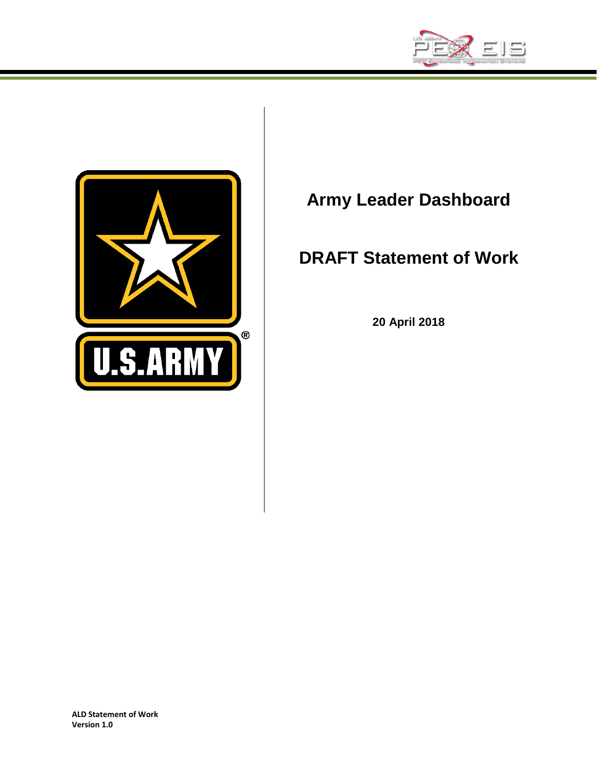



**Army Leader Dashboard**

# **DRAFT Statement of Work**

**20 April 2018**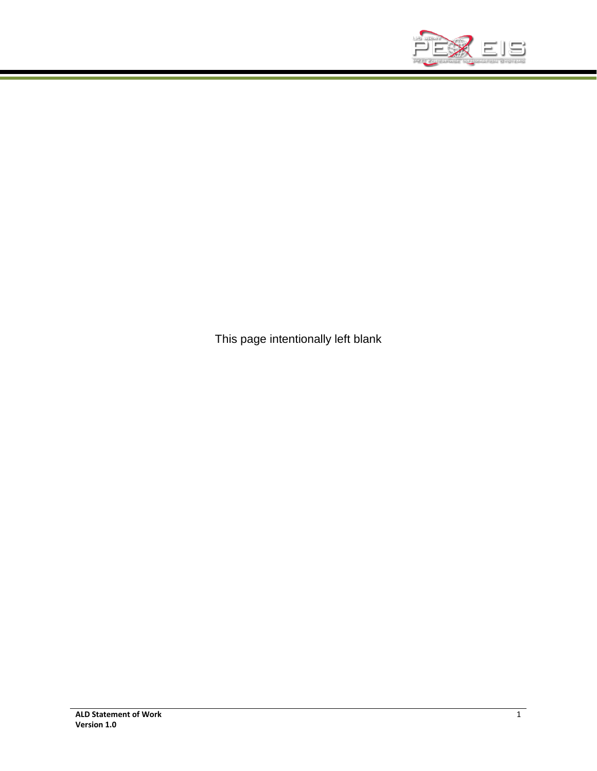

This page intentionally left blank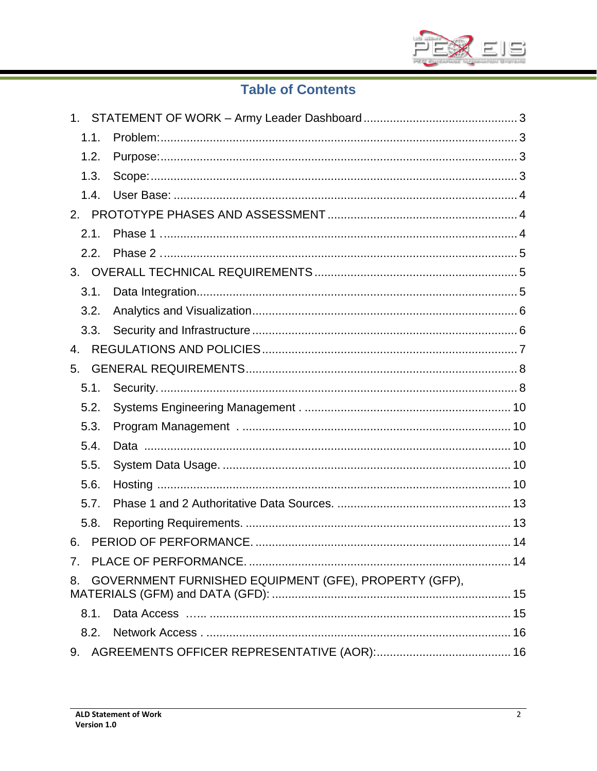

# **Table of Contents**

| 1.1.                                                        |  |  |
|-------------------------------------------------------------|--|--|
| 1.2.                                                        |  |  |
| 1.3.                                                        |  |  |
| 1.4.                                                        |  |  |
|                                                             |  |  |
| 2.1.                                                        |  |  |
| 2.2.                                                        |  |  |
|                                                             |  |  |
| 3.1.                                                        |  |  |
| 3.2.                                                        |  |  |
| 3.3.                                                        |  |  |
| 4.                                                          |  |  |
| 5.                                                          |  |  |
| 5.1.                                                        |  |  |
| 5.2.                                                        |  |  |
| 5.3.                                                        |  |  |
| 5.4.                                                        |  |  |
| 5.5.                                                        |  |  |
| 5.6.                                                        |  |  |
| 5.7.                                                        |  |  |
| 5.8.                                                        |  |  |
|                                                             |  |  |
|                                                             |  |  |
| GOVERNMENT FURNISHED EQUIPMENT (GFE), PROPERTY (GFP),<br>8. |  |  |
| 8.1.                                                        |  |  |
| 8.2.                                                        |  |  |
|                                                             |  |  |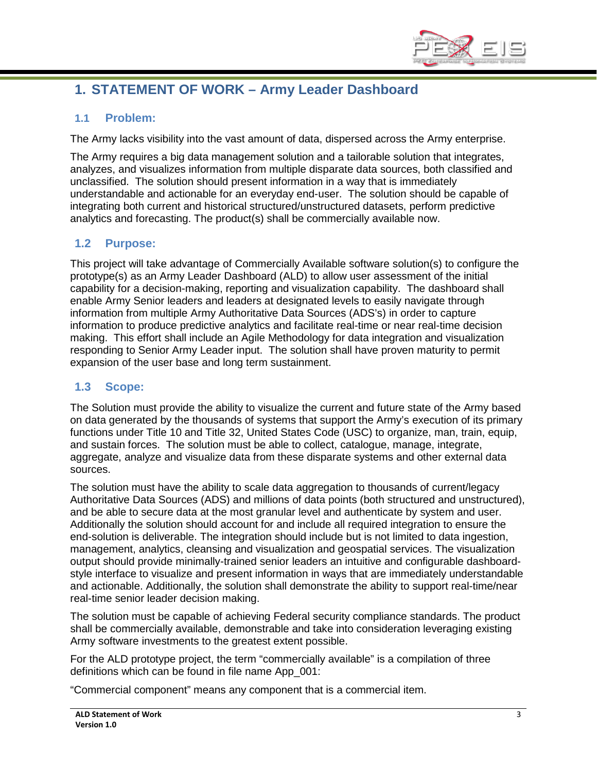

# <span id="page-3-0"></span>**1. STATEMENT OF WORK – Army Leader Dashboard**

#### <span id="page-3-1"></span>**1.1 Problem:**

The Army lacks visibility into the vast amount of data, dispersed across the Army enterprise.

The Army requires a big data management solution and a tailorable solution that integrates, analyzes, and visualizes information from multiple disparate data sources, both classified and unclassified. The solution should present information in a way that is immediately understandable and actionable for an everyday end-user. The solution should be capable of integrating both current and historical structured/unstructured datasets, perform predictive analytics and forecasting. The product(s) shall be commercially available now.

### <span id="page-3-2"></span>**1.2 Purpose:**

This project will take advantage of Commercially Available software solution(s) to configure the prototype(s) as an Army Leader Dashboard (ALD) to allow user assessment of the initial capability for a decision-making, reporting and visualization capability. The dashboard shall enable Army Senior leaders and leaders at designated levels to easily navigate through information from multiple Army Authoritative Data Sources (ADS's) in order to capture information to produce predictive analytics and facilitate real-time or near real-time decision making. This effort shall include an Agile Methodology for data integration and visualization responding to Senior Army Leader input. The solution shall have proven maturity to permit expansion of the user base and long term sustainment.

#### <span id="page-3-3"></span>**1.3 Scope:**

The Solution must provide the ability to visualize the current and future state of the Army based on data generated by the thousands of systems that support the Army's execution of its primary functions under Title 10 and Title 32, United States Code (USC) to organize, man, train, equip, and sustain forces. The solution must be able to collect, catalogue, manage, integrate, aggregate, analyze and visualize data from these disparate systems and other external data sources.

The solution must have the ability to scale data aggregation to thousands of current/legacy Authoritative Data Sources (ADS) and millions of data points (both structured and unstructured), and be able to secure data at the most granular level and authenticate by system and user. Additionally the solution should account for and include all required integration to ensure the end-solution is deliverable. The integration should include but is not limited to data ingestion, management, analytics, cleansing and visualization and geospatial services. The visualization output should provide minimally-trained senior leaders an intuitive and configurable dashboardstyle interface to visualize and present information in ways that are immediately understandable and actionable. Additionally, the solution shall demonstrate the ability to support real-time/near real-time senior leader decision making.

The solution must be capable of achieving Federal security compliance standards. The product shall be commercially available, demonstrable and take into consideration leveraging existing Army software investments to the greatest extent possible.

For the ALD prototype project, the term "commercially available" is a compilation of three definitions which can be found in file name App\_001:

"Commercial component" means any component that is a commercial item.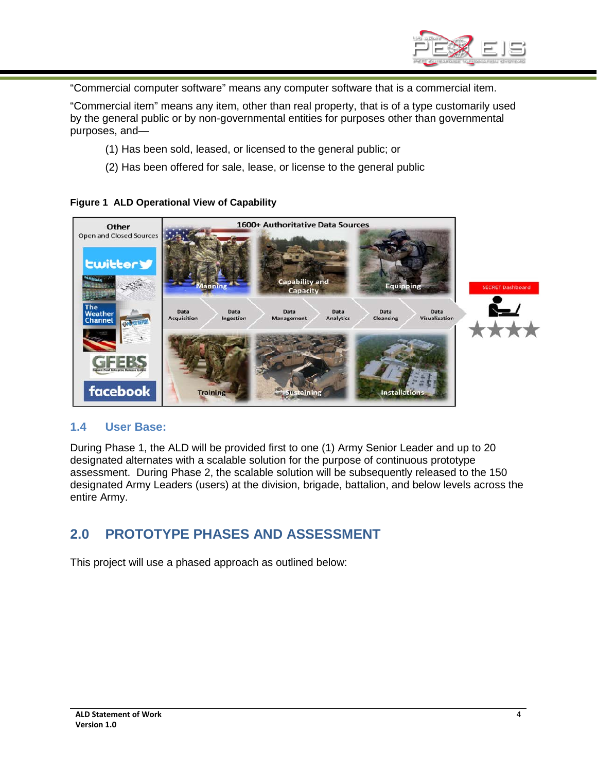

"Commercial computer software" means any computer software that is a commercial item.

"Commercial item" means any item, other than real property, that is of a type customarily used by the general public or by non-governmental entities for purposes other than governmental purposes, and—

- (1) Has been sold, leased, or licensed to the general public; or
- (2) Has been offered for sale, lease, or license to the general public

**Figure 1 ALD Operational View of Capability**



#### <span id="page-4-0"></span>**1.4 User Base:**

During Phase 1, the ALD will be provided first to one (1) Army Senior Leader and up to 20 designated alternates with a scalable solution for the purpose of continuous prototype assessment. During Phase 2, the scalable solution will be subsequently released to the 150 designated Army Leaders (users) at the division, brigade, battalion, and below levels across the entire Army.

### <span id="page-4-1"></span>**2.0 PROTOTYPE PHASES AND ASSESSMENT**

This project will use a phased approach as outlined below: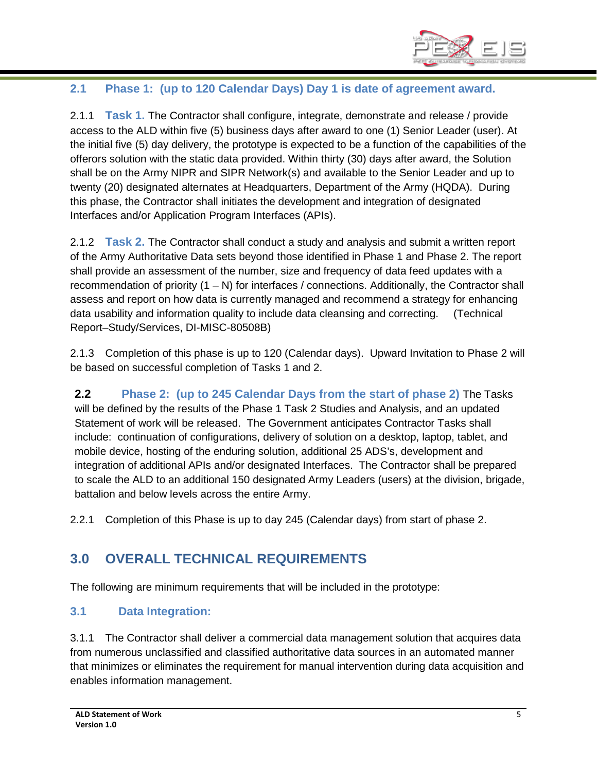

### **2.1 Phase 1: (up to 120 Calendar Days) Day 1 is date of agreement award.**

2.1.1 **Task 1.** The Contractor shall configure, integrate, demonstrate and release / provide access to the ALD within five (5) business days after award to one (1) Senior Leader (user). At the initial five (5) day delivery, the prototype is expected to be a function of the capabilities of the offerors solution with the static data provided. Within thirty (30) days after award, the Solution shall be on the Army NIPR and SIPR Network(s) and available to the Senior Leader and up to twenty (20) designated alternates at Headquarters, Department of the Army (HQDA). During this phase, the Contractor shall initiates the development and integration of designated Interfaces and/or Application Program Interfaces (APIs).

2.1.2 **Task 2.** The Contractor shall conduct a study and analysis and submit a written report of the Army Authoritative Data sets beyond those identified in Phase 1 and Phase 2. The report shall provide an assessment of the number, size and frequency of data feed updates with a recommendation of priority  $(1 - N)$  for interfaces / connections. Additionally, the Contractor shall assess and report on how data is currently managed and recommend a strategy for enhancing data usability and information quality to include data cleansing and correcting. (Technical Report–Study/Services, DI-MISC-80508B)

2.1.3 Completion of this phase is up to 120 (Calendar days). Upward Invitation to Phase 2 will be based on successful completion of Tasks 1 and 2.

<span id="page-5-0"></span>**2.2 Phase 2: (up to 245 Calendar Days from the start of phase 2)** The Tasks will be defined by the results of the Phase 1 Task 2 Studies and Analysis, and an updated Statement of work will be released. The Government anticipates Contractor Tasks shall include: continuation of configurations, delivery of solution on a desktop, laptop, tablet, and mobile device, hosting of the enduring solution, additional 25 ADS's, development and integration of additional APIs and/or designated Interfaces. The Contractor shall be prepared to scale the ALD to an additional 150 designated Army Leaders (users) at the division, brigade, battalion and below levels across the entire Army.

2.2.1 Completion of this Phase is up to day 245 (Calendar days) from start of phase 2.

# <span id="page-5-1"></span>**3.0 OVERALL TECHNICAL REQUIREMENTS**

The following are minimum requirements that will be included in the prototype:

### **3.1 Data Integration:**

3.1.1 The Contractor shall deliver a commercial data management solution that acquires data from numerous unclassified and classified authoritative data sources in an automated manner that minimizes or eliminates the requirement for manual intervention during data acquisition and enables information management.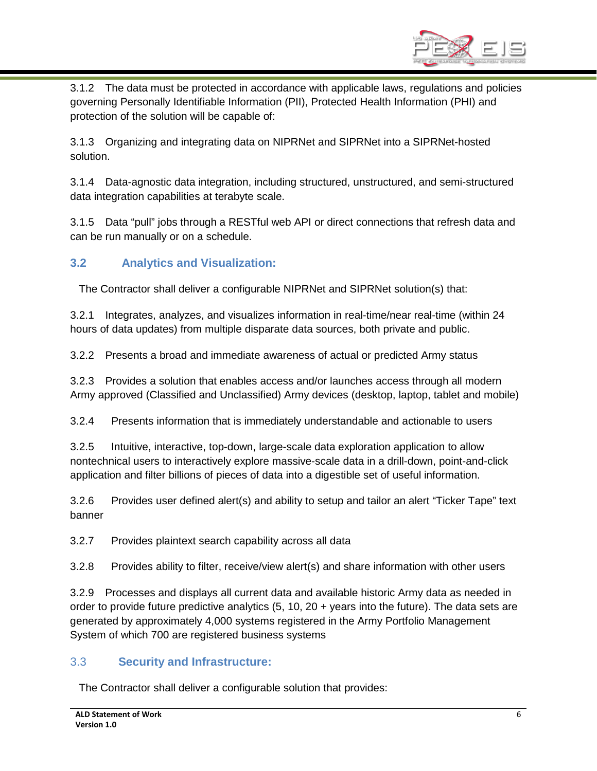

3.1.2 The data must be protected in accordance with applicable laws, regulations and policies governing Personally Identifiable Information (PII), Protected Health Information (PHI) and protection of the solution will be capable of:

3.1.3 Organizing and integrating data on NIPRNet and SIPRNet into a SIPRNet-hosted solution.

3.1.4 Data-agnostic data integration, including structured, unstructured, and semi-structured data integration capabilities at terabyte scale.

3.1.5 Data "pull" jobs through a RESTful web API or direct connections that refresh data and can be run manually or on a schedule.

### <span id="page-6-0"></span>**3.2 Analytics and Visualization:**

The Contractor shall deliver a configurable NIPRNet and SIPRNet solution(s) that:

3.2.1 Integrates, analyzes, and visualizes information in real-time/near real-time (within 24 hours of data updates) from multiple disparate data sources, both private and public.

3.2.2 Presents a broad and immediate awareness of actual or predicted Army status

3.2.3 Provides a solution that enables access and/or launches access through all modern Army approved (Classified and Unclassified) Army devices (desktop, laptop, tablet and mobile)

3.2.4 Presents information that is immediately understandable and actionable to users

3.2.5 Intuitive, interactive, top-down, large-scale data exploration application to allow nontechnical users to interactively explore massive-scale data in a drill-down, point-and-click application and filter billions of pieces of data into a digestible set of useful information.

3.2.6 Provides user defined alert(s) and ability to setup and tailor an alert "Ticker Tape" text banner

3.2.7 Provides plaintext search capability across all data

3.2.8 Provides ability to filter, receive/view alert(s) and share information with other users

3.2.9 Processes and displays all current data and available historic Army data as needed in order to provide future predictive analytics (5, 10, 20 + years into the future). The data sets are generated by approximately 4,000 systems registered in the Army Portfolio Management System of which 700 are registered business systems

### 3.3 **Security and Infrastructure:**

The Contractor shall deliver a configurable solution that provides: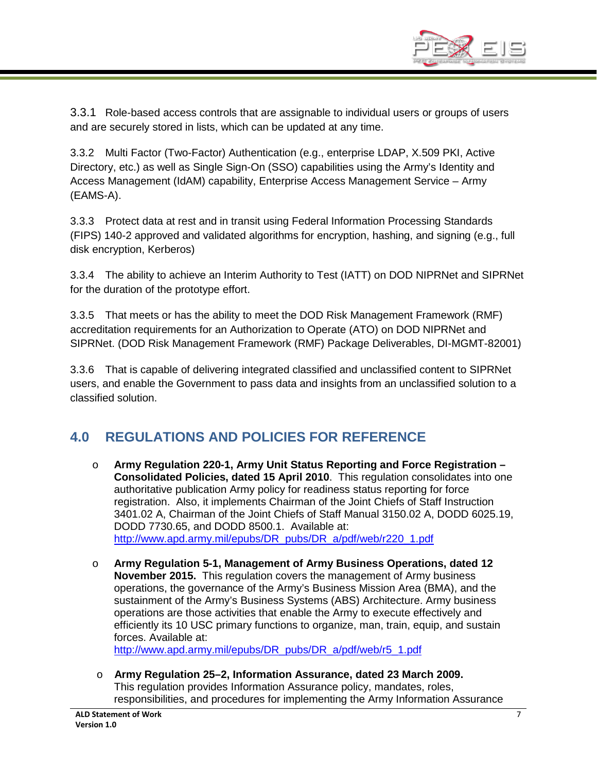

3.3.1 Role-based access controls that are assignable to individual users or groups of users and are securely stored in lists, which can be updated at any time.

3.3.2 Multi Factor (Two-Factor) Authentication (e.g., enterprise LDAP, X.509 PKI, Active Directory, etc.) as well as Single Sign-On (SSO) capabilities using the Army's Identity and Access Management (IdAM) capability, Enterprise Access Management Service – Army (EAMS-A).

3.3.3 Protect data at rest and in transit using Federal Information Processing Standards (FIPS) 140-2 approved and validated algorithms for encryption, hashing, and signing (e.g., full disk encryption, Kerberos)

3.3.4 The ability to achieve an Interim Authority to Test (IATT) on DOD NIPRNet and SIPRNet for the duration of the prototype effort.

3.3.5 That meets or has the ability to meet the DOD Risk Management Framework (RMF) accreditation requirements for an Authorization to Operate (ATO) on DOD NIPRNet and SIPRNet. (DOD Risk Management Framework (RMF) Package Deliverables, DI-MGMT-82001)

3.3.6 That is capable of delivering integrated classified and unclassified content to SIPRNet users, and enable the Government to pass data and insights from an unclassified solution to a classified solution.

# <span id="page-7-0"></span>**4.0 REGULATIONS AND POLICIES FOR REFERENCE**

- o **Army Regulation 220-1, Army Unit Status Reporting and Force Registration – Consolidated Policies, dated 15 April 2010**. This regulation consolidates into one authoritative publication Army policy for readiness status reporting for force registration. Also, it implements Chairman of the Joint Chiefs of Staff Instruction 3401.02 A, Chairman of the Joint Chiefs of Staff Manual 3150.02 A, DODD 6025.19, DODD 7730.65, and DODD 8500.1. Available at: [http://www.apd.army.mil/epubs/DR\\_pubs/DR\\_a/pdf/web/r220\\_1.pdf](http://www.apd.army.mil/epubs/DR_pubs/DR_a/pdf/web/r220_1.pdf)
- o **Army Regulation 5-1, Management of Army Business Operations, dated 12 November 2015.** This regulation covers the management of Army business operations, the governance of the Army's Business Mission Area (BMA), and the sustainment of the Army's Business Systems (ABS) Architecture. Army business operations are those activities that enable the Army to execute effectively and efficiently its 10 USC primary functions to organize, man, train, equip, and sustain forces. Available at:

[http://www.apd.army.mil/epubs/DR\\_pubs/DR\\_a/pdf/web/r5\\_1.pdf](http://www.apd.army.mil/epubs/DR_pubs/DR_a/pdf/web/r5_1.pdf)

o **Army Regulation 25–2, Information Assurance, dated 23 March 2009.**  This regulation provides Information Assurance policy, mandates, roles, responsibilities, and procedures for implementing the Army Information Assurance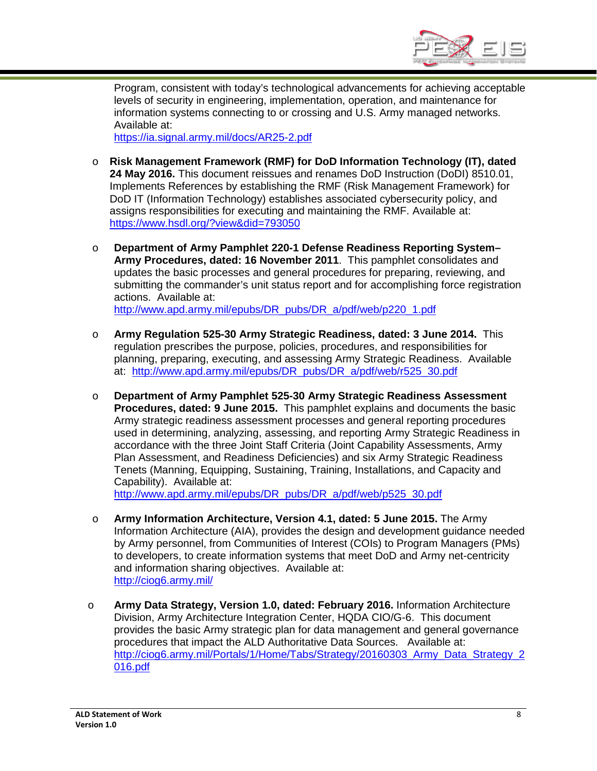

Program, consistent with today's technological advancements for achieving acceptable levels of security in engineering, implementation, operation, and maintenance for information systems connecting to or crossing and U.S. Army managed networks. Available at:

<https://ia.signal.army.mil/docs/AR25-2.pdf>

- o **Risk Management Framework (RMF) for DoD Information Technology (IT), dated 24 May 2016.** This document reissues and renames DoD Instruction (DoDI) 8510.01, Implements References by establishing the RMF (Risk Management Framework) for DoD IT (Information Technology) establishes associated cybersecurity policy, and assigns responsibilities for executing and maintaining the RMF. Available at: <https://www.hsdl.org/?view&did=793050>
- o **Department of Army Pamphlet 220-1 Defense Readiness Reporting System– Army Procedures, dated: 16 November 2011**. This pamphlet consolidates and updates the basic processes and general procedures for preparing, reviewing, and submitting the commander's unit status report and for accomplishing force registration actions. Available at: [http://www.apd.army.mil/epubs/DR\\_pubs/DR\\_a/pdf/web/p220\\_1.pdf](http://www.apd.army.mil/epubs/DR_pubs/DR_a/pdf/web/p220_1.pdf)
- o **Army Regulation 525-30 Army Strategic Readiness, dated: 3 June 2014.** This regulation prescribes the purpose, policies, procedures, and responsibilities for planning, preparing, executing, and assessing Army Strategic Readiness. Available at: [http://www.apd.army.mil/epubs/DR\\_pubs/DR\\_a/pdf/web/r525\\_30.pdf](http://www.apd.army.mil/epubs/DR_pubs/DR_a/pdf/web/r525_30.pdf)
- o **Department of Army Pamphlet 525-30 Army Strategic Readiness Assessment Procedures, dated: 9 June 2015.** This pamphlet explains and documents the basic Army strategic readiness assessment processes and general reporting procedures used in determining, analyzing, assessing, and reporting Army Strategic Readiness in accordance with the three Joint Staff Criteria (Joint Capability Assessments, Army Plan Assessment, and Readiness Deficiencies) and six Army Strategic Readiness Tenets (Manning, Equipping, Sustaining, Training, Installations, and Capacity and Capability). Available at:

[http://www.apd.army.mil/epubs/DR\\_pubs/DR\\_a/pdf/web/p525\\_30.pdf](http://www.apd.army.mil/epubs/DR_pubs/DR_a/pdf/web/p525_30.pdf)

- o **Army Information Architecture, Version 4.1, dated: 5 June 2015.** The Army Information Architecture (AIA), provides the design and development guidance needed by Army personnel, from Communities of Interest (COIs) to Program Managers (PMs) to developers, to create information systems that meet DoD and Army net-centricity and information sharing objectives. Available at: <http://ciog6.army.mil/>
- o **Army Data Strategy, Version 1.0, dated: February 2016.** Information Architecture Division, Army Architecture Integration Center, HQDA CIO/G-6. This document provides the basic Army strategic plan for data management and general governance procedures that impact the ALD Authoritative Data Sources. Available at: [http://ciog6.army.mil/Portals/1/Home/Tabs/Strategy/20160303\\_Army\\_Data\\_Strategy\\_2](http://ciog6.army.mil/Portals/1/Home/Tabs/Strategy/20160303_Army_Data_Strategy_2016.pdf) [016.pdf](http://ciog6.army.mil/Portals/1/Home/Tabs/Strategy/20160303_Army_Data_Strategy_2016.pdf)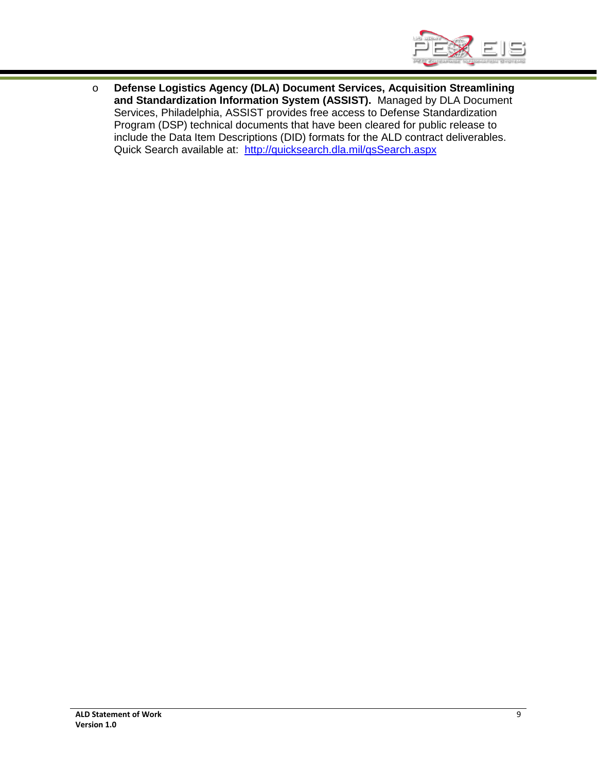

o **Defense Logistics Agency (DLA) Document Services, Acquisition Streamlining and Standardization Information System (ASSIST).** Managed by DLA Document Services, Philadelphia, ASSIST provides free access to Defense Standardization Program (DSP) technical documents that have been cleared for public release to include the Data Item Descriptions (DID) formats for the ALD contract deliverables. Quick Search available at: <http://quicksearch.dla.mil/qsSearch.aspx>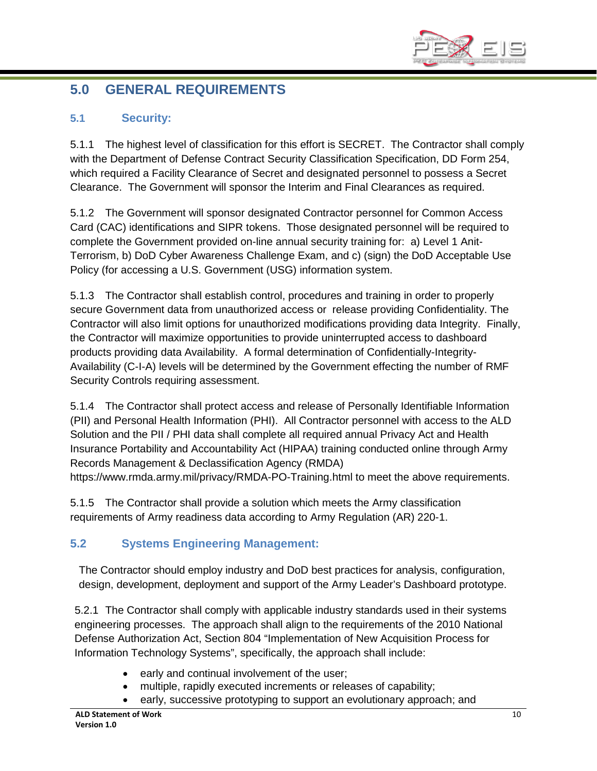

### **5.0 GENERAL REQUIREMENTS**

### **5.1 Security:**

5.1.1 The highest level of classification for this effort is SECRET. The Contractor shall comply with the Department of Defense Contract Security Classification Specification, DD Form 254, which required a Facility Clearance of Secret and designated personnel to possess a Secret Clearance. The Government will sponsor the Interim and Final Clearances as required.

5.1.2 The Government will sponsor designated Contractor personnel for Common Access Card (CAC) identifications and SIPR tokens. Those designated personnel will be required to complete the Government provided on-line annual security training for: a) Level 1 Anit-Terrorism, b) DoD Cyber Awareness Challenge Exam, and c) (sign) the DoD Acceptable Use Policy (for accessing a U.S. Government (USG) information system.

5.1.3 The Contractor shall establish control, procedures and training in order to properly secure Government data from unauthorized access or release providing Confidentiality. The Contractor will also limit options for unauthorized modifications providing data Integrity. Finally, the Contractor will maximize opportunities to provide uninterrupted access to dashboard products providing data Availability. A formal determination of Confidentially-Integrity-Availability (C-I-A) levels will be determined by the Government effecting the number of RMF Security Controls requiring assessment.

5.1.4 The Contractor shall protect access and release of Personally Identifiable Information (PII) and Personal Health Information (PHI). All Contractor personnel with access to the ALD Solution and the PII / PHI data shall complete all required annual Privacy Act and Health Insurance Portability and Accountability Act (HIPAA) training conducted online through Army Records Management & Declassification Agency (RMDA) https://www.rmda.army.mil/privacy/RMDA-PO-Training.html to meet the above requirements.

5.1.5 The Contractor shall provide a solution which meets the Army classification requirements of Army readiness data according to Army Regulation (AR) 220-1.

### <span id="page-10-0"></span>**5.2 Systems Engineering Management:**

The Contractor should employ industry and DoD best practices for analysis, configuration, design, development, deployment and support of the Army Leader's Dashboard prototype.

5.2.1 The Contractor shall comply with applicable industry standards used in their systems engineering processes. The approach shall align to the requirements of the 2010 National Defense Authorization Act, Section 804 "Implementation of New Acquisition Process for Information Technology Systems", specifically, the approach shall include:

- early and continual involvement of the user;
- multiple, rapidly executed increments or releases of capability;
- early, successive prototyping to support an evolutionary approach; and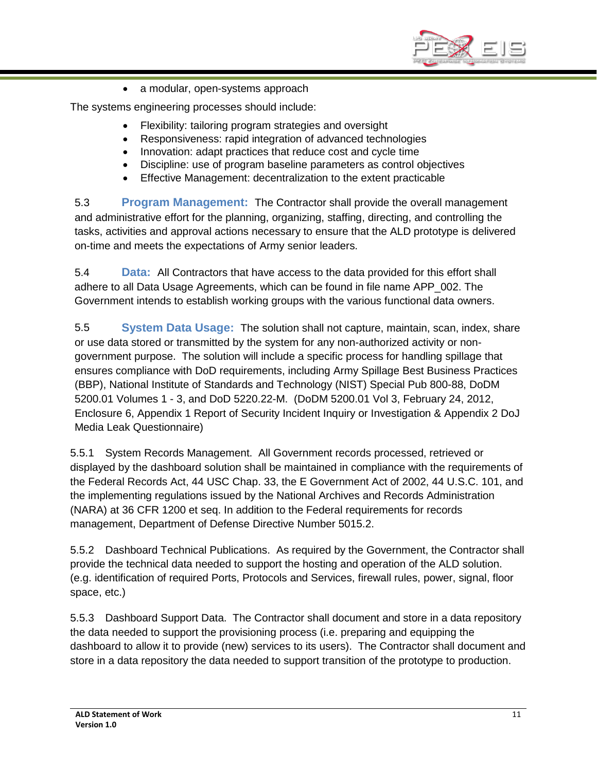

• a modular, open-systems approach

The systems engineering processes should include:

- Flexibility: tailoring program strategies and oversight
- Responsiveness: rapid integration of advanced technologies
- Innovation: adapt practices that reduce cost and cycle time
- Discipline: use of program baseline parameters as control objectives
- Effective Management: decentralization to the extent practicable

5.3 **Program Management:** The Contractor shall provide the overall management and administrative effort for the planning, organizing, staffing, directing, and controlling the tasks, activities and approval actions necessary to ensure that the ALD prototype is delivered on-time and meets the expectations of Army senior leaders.

5.4 **Data:** All Contractors that have access to the data provided for this effort shall adhere to all Data Usage Agreements, which can be found in file name APP\_002. The Government intends to establish working groups with the various functional data owners.

5.5 **System Data Usage:** The solution shall not capture, maintain, scan, index, share or use data stored or transmitted by the system for any non-authorized activity or nongovernment purpose. The solution will include a specific process for handling spillage that ensures compliance with DoD requirements, including Army Spillage Best Business Practices (BBP), National Institute of Standards and Technology (NIST) Special Pub 800-88, DoDM 5200.01 Volumes 1 - 3, and DoD 5220.22-M. (DoDM 5200.01 Vol 3, February 24, 2012, Enclosure 6, Appendix 1 Report of Security Incident Inquiry or Investigation & Appendix 2 DoJ Media Leak Questionnaire)

5.5.1 System Records Management. All Government records processed, retrieved or displayed by the dashboard solution shall be maintained in compliance with the requirements of the Federal Records Act, 44 USC Chap. 33, the E Government Act of 2002, 44 U.S.C. 101, and the implementing regulations issued by the National Archives and Records Administration (NARA) at 36 CFR 1200 et seq. In addition to the Federal requirements for records management, Department of Defense Directive Number 5015.2.

5.5.2 Dashboard Technical Publications. As required by the Government, the Contractor shall provide the technical data needed to support the hosting and operation of the ALD solution. (e.g. identification of required Ports, Protocols and Services, firewall rules, power, signal, floor space, etc.)

5.5.3 Dashboard Support Data. The Contractor shall document and store in a data repository the data needed to support the provisioning process (i.e. preparing and equipping the dashboard to allow it to provide (new) services to its users). The Contractor shall document and store in a data repository the data needed to support transition of the prototype to production.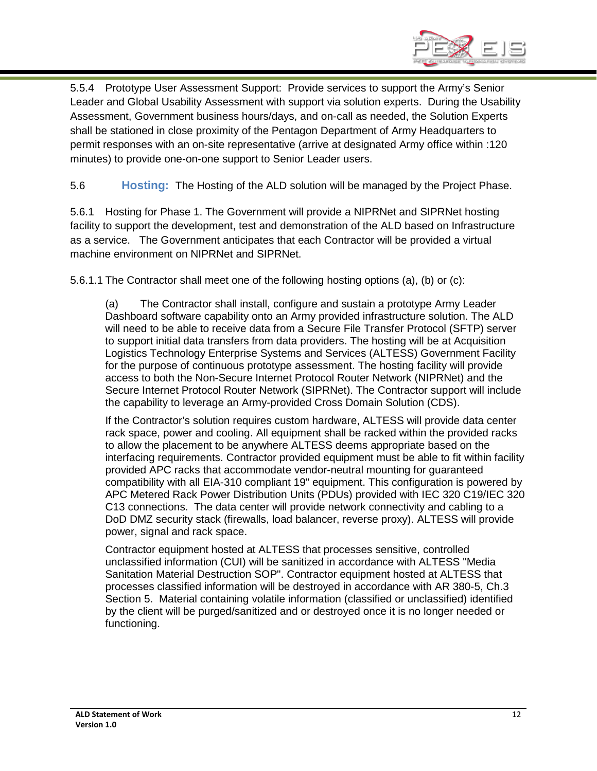

5.5.4 Prototype User Assessment Support: Provide services to support the Army's Senior Leader and Global Usability Assessment with support via solution experts. During the Usability Assessment, Government business hours/days, and on-call as needed, the Solution Experts shall be stationed in close proximity of the Pentagon Department of Army Headquarters to permit responses with an on-site representative (arrive at designated Army office within :120 minutes) to provide one-on-one support to Senior Leader users.

5.6 **Hosting:** The Hosting of the ALD solution will be managed by the Project Phase.

5.6.1 Hosting for Phase 1. The Government will provide a NIPRNet and SIPRNet hosting facility to support the development, test and demonstration of the ALD based on Infrastructure as a service. The Government anticipates that each Contractor will be provided a virtual machine environment on NIPRNet and SIPRNet.

5.6.1.1 The Contractor shall meet one of the following hosting options (a), (b) or (c):

(a) The Contractor shall install, configure and sustain a prototype Army Leader Dashboard software capability onto an Army provided infrastructure solution. The ALD will need to be able to receive data from a Secure File Transfer Protocol (SFTP) server to support initial data transfers from data providers. The hosting will be at Acquisition Logistics Technology Enterprise Systems and Services (ALTESS) Government Facility for the purpose of continuous prototype assessment. The hosting facility will provide access to both the Non-Secure Internet Protocol Router Network (NIPRNet) and the Secure Internet Protocol Router Network (SIPRNet). The Contractor support will include the capability to leverage an Army-provided Cross Domain Solution (CDS).

If the Contractor's solution requires custom hardware, ALTESS will provide data center rack space, power and cooling. All equipment shall be racked within the provided racks to allow the placement to be anywhere ALTESS deems appropriate based on the interfacing requirements. Contractor provided equipment must be able to fit within facility provided APC racks that accommodate vendor-neutral mounting for guaranteed compatibility with all EIA-310 compliant 19" equipment. This configuration is powered by APC Metered Rack Power Distribution Units (PDUs) provided with IEC 320 C19/IEC 320 C13 connections. The data center will provide network connectivity and cabling to a DoD DMZ security stack (firewalls, load balancer, reverse proxy). ALTESS will provide power, signal and rack space.

Contractor equipment hosted at ALTESS that processes sensitive, controlled unclassified information (CUI) will be sanitized in accordance with ALTESS "Media Sanitation Material Destruction SOP". Contractor equipment hosted at ALTESS that processes classified information will be destroyed in accordance with AR 380-5, Ch.3 Section 5. Material containing volatile information (classified or unclassified) identified by the client will be purged/sanitized and or destroyed once it is no longer needed or functioning.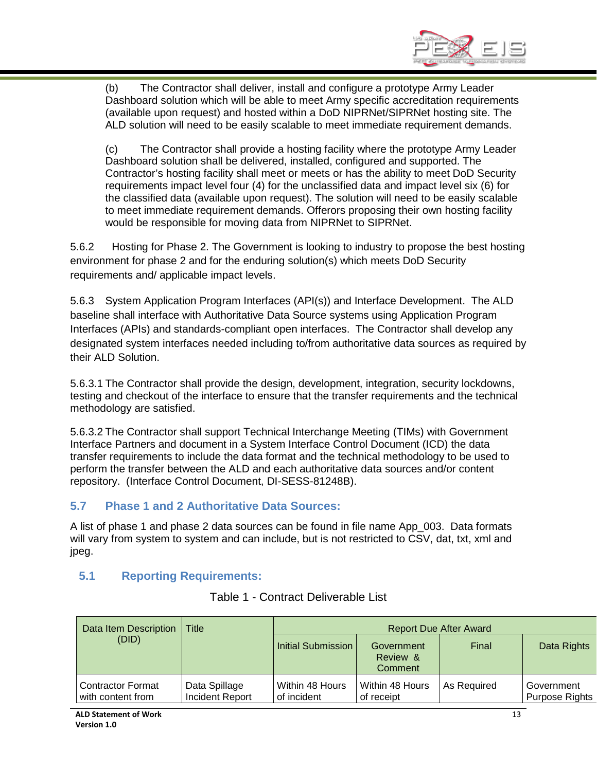

(b) The Contractor shall deliver, install and configure a prototype Army Leader Dashboard solution which will be able to meet Army specific accreditation requirements (available upon request) and hosted within a DoD NIPRNet/SIPRNet hosting site. The ALD solution will need to be easily scalable to meet immediate requirement demands.

(c) The Contractor shall provide a hosting facility where the prototype Army Leader Dashboard solution shall be delivered, installed, configured and supported. The Contractor's hosting facility shall meet or meets or has the ability to meet DoD Security requirements impact level four (4) for the unclassified data and impact level six (6) for the classified data (available upon request). The solution will need to be easily scalable to meet immediate requirement demands. Offerors proposing their own hosting facility would be responsible for moving data from NIPRNet to SIPRNet.

5.6.2Hosting for Phase 2. The Government is looking to industry to propose the best hosting environment for phase 2 and for the enduring solution(s) which meets DoD Security requirements and/ applicable impact levels.

5.6.3 System Application Program Interfaces (API(s)) and Interface Development. The ALD baseline shall interface with Authoritative Data Source systems using Application Program Interfaces (APIs) and standards-compliant open interfaces. The Contractor shall develop any designated system interfaces needed including to/from authoritative data sources as required by their ALD Solution.

5.6.3.1 The Contractor shall provide the design, development, integration, security lockdowns, testing and checkout of the interface to ensure that the transfer requirements and the technical methodology are satisfied.

5.6.3.2 The Contractor shall support Technical Interchange Meeting (TIMs) with Government Interface Partners and document in a System Interface Control Document (ICD) the data transfer requirements to include the data format and the technical methodology to be used to perform the transfer between the ALD and each authoritative data sources and/or content repository. (Interface Control Document, DI-SESS-81248B).

### <span id="page-13-0"></span>**5.7 Phase 1 and 2 Authoritative Data Sources:**

A list of phase 1 and phase 2 data sources can be found in file name App\_003. Data formats will vary from system to system and can include, but is not restricted to CSV, dat, txt, xml and jpeg.

#### <span id="page-13-1"></span>**5.1 Reporting Requirements:**

| Data Item Description                         | Title                            | <b>Report Due After Award</b>  |                                   |             |                              |
|-----------------------------------------------|----------------------------------|--------------------------------|-----------------------------------|-------------|------------------------------|
| (DID)                                         |                                  | Initial Submission             | Government<br>Review &<br>Comment | Final       | Data Rights                  |
| <b>Contractor Format</b><br>with content from | Data Spillage<br>Incident Report | Within 48 Hours<br>of incident | Within 48 Hours<br>of receipt     | As Required | Government<br>Purpose Rights |

|  | Table 1 - Contract Deliverable List |
|--|-------------------------------------|
|--|-------------------------------------|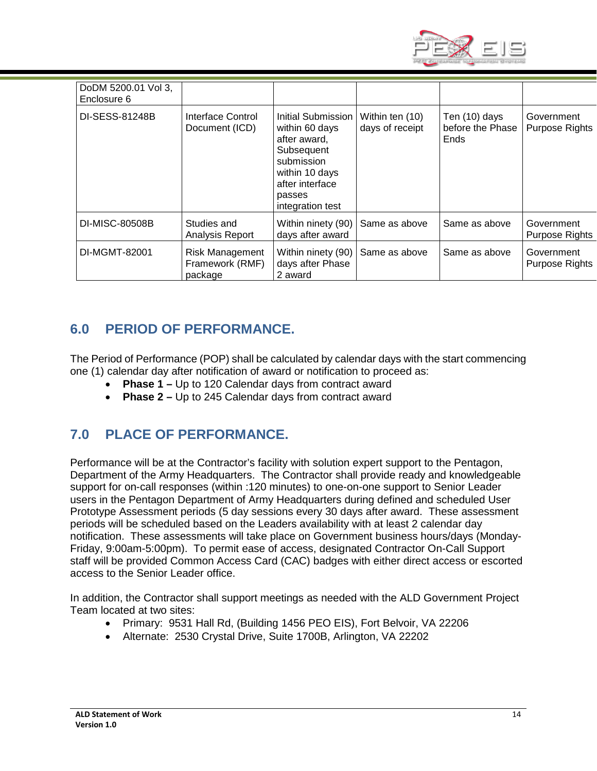

| DoDM 5200.01 Vol 3,<br>Enclosure 6 |                                                      |                                                                                                                                                     |                                    |                                           |                                     |
|------------------------------------|------------------------------------------------------|-----------------------------------------------------------------------------------------------------------------------------------------------------|------------------------------------|-------------------------------------------|-------------------------------------|
| DI-SESS-81248B                     | Interface Control<br>Document (ICD)                  | Initial Submission<br>within 60 days<br>after award,<br>Subsequent<br>submission<br>within 10 days<br>after interface<br>passes<br>integration test | Within ten (10)<br>days of receipt | Ten (10) days<br>before the Phase<br>Ends | Government<br><b>Purpose Rights</b> |
| DI-MISC-80508B                     | Studies and<br>Analysis Report                       | Within ninety (90)<br>days after award                                                                                                              | Same as above                      | Same as above                             | Government<br>Purpose Rights        |
| DI-MGMT-82001                      | <b>Risk Management</b><br>Framework (RMF)<br>package | Within ninety (90)<br>days after Phase<br>2 award                                                                                                   | Same as above                      | Same as above                             | Government<br>Purpose Rights        |

### <span id="page-14-0"></span>**6.0 PERIOD OF PERFORMANCE.**

The Period of Performance (POP) shall be calculated by calendar days with the start commencing one (1) calendar day after notification of award or notification to proceed as:

- **Phase 1 –** Up to 120 Calendar days from contract award
- **Phase 2 –** Up to 245 Calendar days from contract award

### <span id="page-14-1"></span>**7.0 PLACE OF PERFORMANCE.**

Performance will be at the Contractor's facility with solution expert support to the Pentagon, Department of the Army Headquarters. The Contractor shall provide ready and knowledgeable support for on-call responses (within :120 minutes) to one-on-one support to Senior Leader users in the Pentagon Department of Army Headquarters during defined and scheduled User Prototype Assessment periods (5 day sessions every 30 days after award. These assessment periods will be scheduled based on the Leaders availability with at least 2 calendar day notification. These assessments will take place on Government business hours/days (Monday-Friday, 9:00am-5:00pm). To permit ease of access, designated Contractor On-Call Support staff will be provided Common Access Card (CAC) badges with either direct access or escorted access to the Senior Leader office.

In addition, the Contractor shall support meetings as needed with the ALD Government Project Team located at two sites:

- Primary: 9531 Hall Rd, (Building 1456 PEO EIS), Fort Belvoir, VA 22206
- Alternate: 2530 Crystal Drive, Suite 1700B, Arlington, VA 22202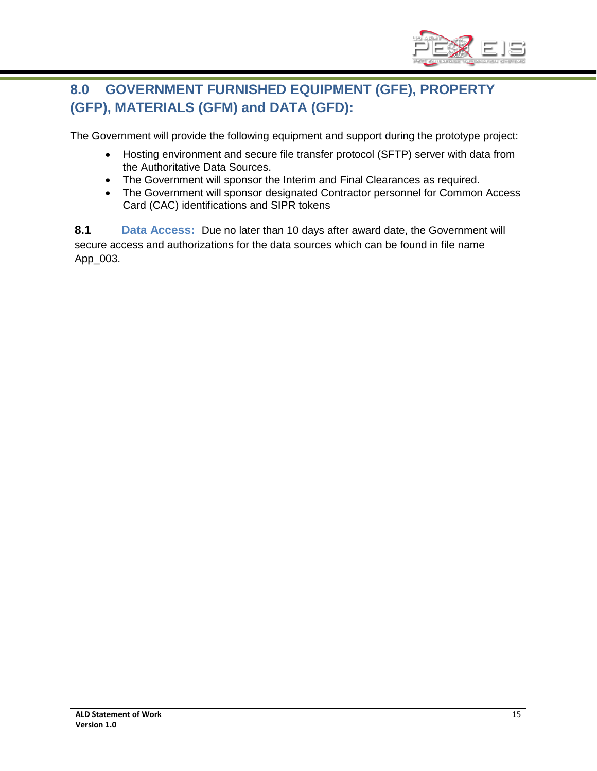

# <span id="page-15-0"></span>**8.0 GOVERNMENT FURNISHED EQUIPMENT (GFE), PROPERTY (GFP), MATERIALS (GFM) and DATA (GFD):**

The Government will provide the following equipment and support during the prototype project:

- Hosting environment and secure file transfer protocol (SFTP) server with data from the Authoritative Data Sources.
- The Government will sponsor the Interim and Final Clearances as required.
- <span id="page-15-1"></span>• The Government will sponsor designated Contractor personnel for Common Access Card (CAC) identifications and SIPR tokens

**8.1 Data Access:** Due no later than 10 days after award date, the Government will secure access and authorizations for the data sources which can be found in file name App\_003.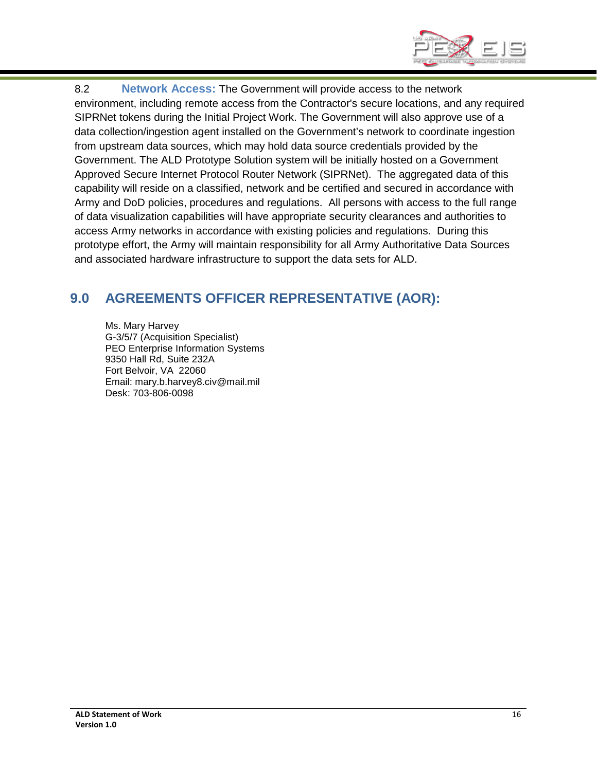

<span id="page-16-0"></span>8.2 **Network Access:** The Government will provide access to the network environment, including remote access from the Contractor's secure locations, and any required SIPRNet tokens during the Initial Project Work. The Government will also approve use of a data collection/ingestion agent installed on the Government's network to coordinate ingestion from upstream data sources, which may hold data source credentials provided by the Government. The ALD Prototype Solution system will be initially hosted on a Government Approved Secure Internet Protocol Router Network (SIPRNet). The aggregated data of this capability will reside on a classified, network and be certified and secured in accordance with Army and DoD policies, procedures and regulations. All persons with access to the full range of data visualization capabilities will have appropriate security clearances and authorities to access Army networks in accordance with existing policies and regulations. During this prototype effort, the Army will maintain responsibility for all Army Authoritative Data Sources and associated hardware infrastructure to support the data sets for ALD.

# <span id="page-16-1"></span>**9.0 AGREEMENTS OFFICER REPRESENTATIVE (AOR):**

Ms. Mary Harvey G-3/5/7 (Acquisition Specialist) PEO Enterprise Information Systems 9350 Hall Rd, Suite 232A Fort Belvoir, VA 22060 Email: mary.b.harvey8.civ@mail.mil Desk: 703-806-0098